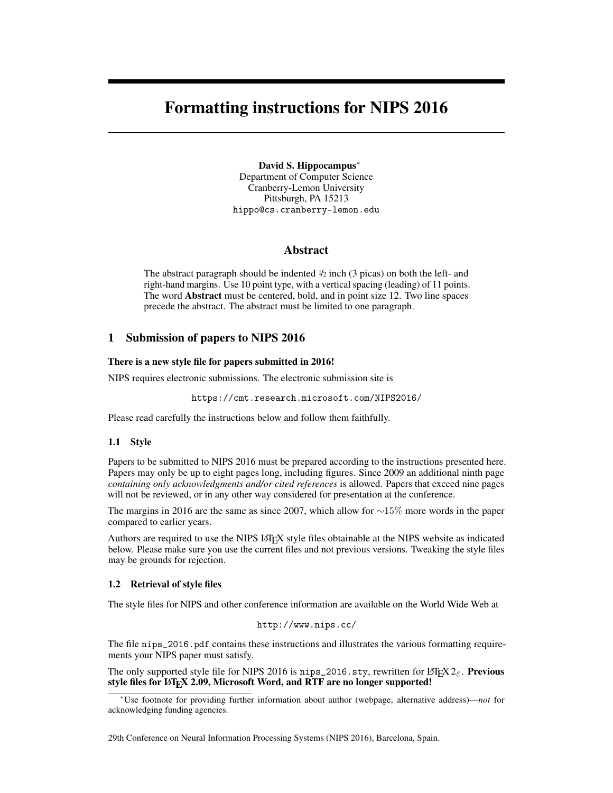# Formatting instructions for NIPS 2016

David S. Hippocampus<sup>∗</sup> Department of Computer Science Cranberry-Lemon University Pittsburgh, PA 15213 hippo@cs.cranberry-lemon.edu

## Abstract

The abstract paragraph should be indented  $\frac{1}{2}$  inch (3 picas) on both the left- and right-hand margins. Use 10 point type, with a vertical spacing (leading) of 11 points. The word Abstract must be centered, bold, and in point size 12. Two line spaces precede the abstract. The abstract must be limited to one paragraph.

## 1 Submission of papers to NIPS 2016

### There is a new style file for papers submitted in 2016!

NIPS requires electronic submissions. The electronic submission site is

https://cmt.research.microsoft.com/NIPS2016/

Please read carefully the instructions below and follow them faithfully.

#### 1.1 Style

Papers to be submitted to NIPS 2016 must be prepared according to the instructions presented here. Papers may only be up to eight pages long, including figures. Since 2009 an additional ninth page *containing only acknowledgments and/or cited references* is allowed. Papers that exceed nine pages will not be reviewed, or in any other way considered for presentation at the conference.

The margins in 2016 are the same as since 2007, which allow for ∼15% more words in the paper compared to earlier years.

Authors are required to use the NIPS LATEX style files obtainable at the NIPS website as indicated below. Please make sure you use the current files and not previous versions. Tweaking the style files may be grounds for rejection.

### 1.2 Retrieval of style files

The style files for NIPS and other conference information are available on the World Wide Web at

```
http://www.nips.cc/
```
The file nips\_2016.pdf contains these instructions and illustrates the various formatting requirements your NIPS paper must satisfy.

The only supported style file for NIPS 2016 is nips\_2016.sty, rewritten for LATEX  $2\varepsilon$ . Previous style files for LATEX 2.09, Microsoft Word, and RTF are no longer supported!

29th Conference on Neural Information Processing Systems (NIPS 2016), Barcelona, Spain.

<sup>∗</sup>Use footnote for providing further information about author (webpage, alternative address)—*not* for acknowledging funding agencies.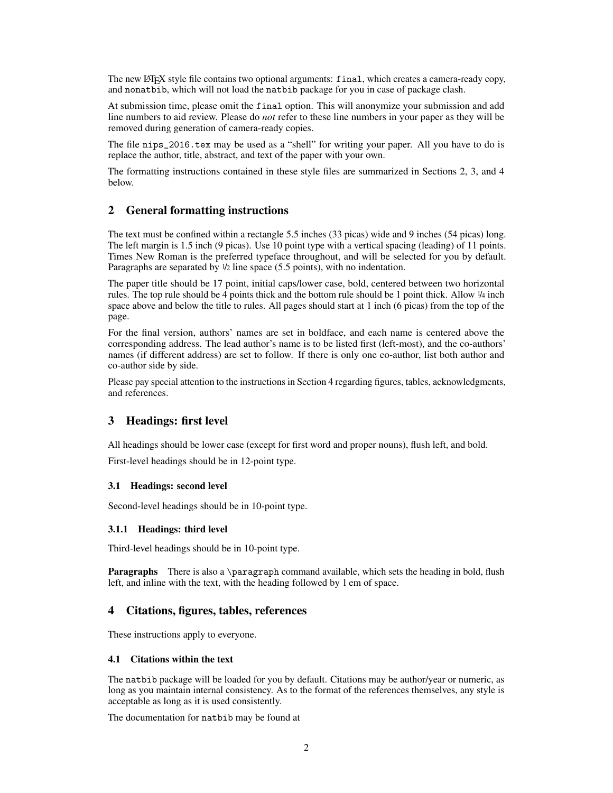The new LATEX style file contains two optional arguments: final, which creates a camera-ready copy, and nonatbib, which will not load the natbib package for you in case of package clash.

At submission time, please omit the final option. This will anonymize your submission and add line numbers to aid review. Please do *not* refer to these line numbers in your paper as they will be removed during generation of camera-ready copies.

The file nips\_2016.tex may be used as a "shell" for writing your paper. All you have to do is replace the author, title, abstract, and text of the paper with your own.

The formatting instructions contained in these style files are summarized in Sections 2, 3, and 4 below.

## 2 General formatting instructions

The text must be confined within a rectangle 5.5 inches (33 picas) wide and 9 inches (54 picas) long. The left margin is 1.5 inch (9 picas). Use 10 point type with a vertical spacing (leading) of 11 points. Times New Roman is the preferred typeface throughout, and will be selected for you by default. Paragraphs are separated by  $\frac{1}{2}$  line space (5.5 points), with no indentation.

The paper title should be 17 point, initial caps/lower case, bold, centered between two horizontal rules. The top rule should be 4 points thick and the bottom rule should be 1 point thick. Allow <sup>1</sup>/<sup>4</sup> inch space above and below the title to rules. All pages should start at 1 inch (6 picas) from the top of the page.

For the final version, authors' names are set in boldface, and each name is centered above the corresponding address. The lead author's name is to be listed first (left-most), and the co-authors' names (if different address) are set to follow. If there is only one co-author, list both author and co-author side by side.

Please pay special attention to the instructions in Section 4 regarding figures, tables, acknowledgments, and references.

## 3 Headings: first level

All headings should be lower case (except for first word and proper nouns), flush left, and bold.

First-level headings should be in 12-point type.

### 3.1 Headings: second level

Second-level headings should be in 10-point type.

#### 3.1.1 Headings: third level

Third-level headings should be in 10-point type.

Paragraphs There is also a \paragraph command available, which sets the heading in bold, flush left, and inline with the text, with the heading followed by 1 em of space.

## 4 Citations, figures, tables, references

These instructions apply to everyone.

### 4.1 Citations within the text

The natbib package will be loaded for you by default. Citations may be author/year or numeric, as long as you maintain internal consistency. As to the format of the references themselves, any style is acceptable as long as it is used consistently.

The documentation for natbib may be found at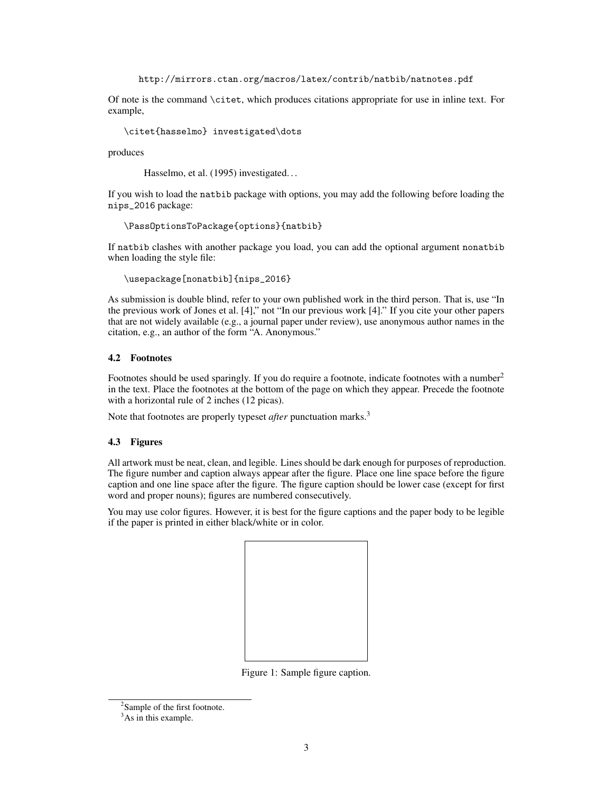http://mirrors.ctan.org/macros/latex/contrib/natbib/natnotes.pdf

Of note is the command \citet, which produces citations appropriate for use in inline text. For example,

\citet{hasselmo} investigated\dots

produces

Hasselmo, et al. (1995) investigated...

If you wish to load the natbib package with options, you may add the following before loading the nips\_2016 package:

\PassOptionsToPackage{options}{natbib}

If natbib clashes with another package you load, you can add the optional argument nonatbib when loading the style file:

\usepackage[nonatbib]{nips\_2016}

As submission is double blind, refer to your own published work in the third person. That is, use "In the previous work of Jones et al. [4]," not "In our previous work [4]." If you cite your other papers that are not widely available (e.g., a journal paper under review), use anonymous author names in the citation, e.g., an author of the form "A. Anonymous."

## 4.2 Footnotes

Footnotes should be used sparingly. If you do require a footnote, indicate footnotes with a number<sup>2</sup> in the text. Place the footnotes at the bottom of the page on which they appear. Precede the footnote with a horizontal rule of 2 inches (12 picas).

Note that footnotes are properly typeset *after* punctuation marks.<sup>3</sup>

#### 4.3 Figures

All artwork must be neat, clean, and legible. Lines should be dark enough for purposes of reproduction. The figure number and caption always appear after the figure. Place one line space before the figure caption and one line space after the figure. The figure caption should be lower case (except for first word and proper nouns); figures are numbered consecutively.

You may use color figures. However, it is best for the figure captions and the paper body to be legible if the paper is printed in either black/white or in color.



Figure 1: Sample figure caption.

<sup>&</sup>lt;sup>2</sup>Sample of the first footnote.

<sup>&</sup>lt;sup>3</sup>As in this example.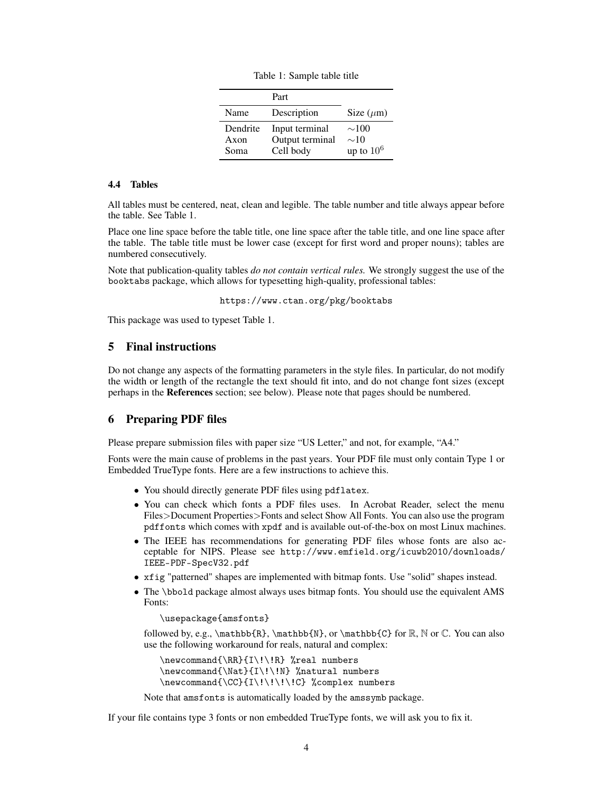|  |  | Table 1: Sample table title |  |  |
|--|--|-----------------------------|--|--|
|--|--|-----------------------------|--|--|

|          | Part            |                |
|----------|-----------------|----------------|
| Name     | Description     | Size $(\mu m)$ |
| Dendrite | Input terminal  | $\sim$ 100     |
| Axon     | Output terminal | $\sim$ 10      |
| Soma     | Cell body       | up to $10^6$   |

## 4.4 Tables

All tables must be centered, neat, clean and legible. The table number and title always appear before the table. See Table 1.

Place one line space before the table title, one line space after the table title, and one line space after the table. The table title must be lower case (except for first word and proper nouns); tables are numbered consecutively.

Note that publication-quality tables *do not contain vertical rules.* We strongly suggest the use of the booktabs package, which allows for typesetting high-quality, professional tables:

https://www.ctan.org/pkg/booktabs

This package was used to typeset Table 1.

# 5 Final instructions

Do not change any aspects of the formatting parameters in the style files. In particular, do not modify the width or length of the rectangle the text should fit into, and do not change font sizes (except perhaps in the References section; see below). Please note that pages should be numbered.

## 6 Preparing PDF files

Please prepare submission files with paper size "US Letter," and not, for example, "A4."

Fonts were the main cause of problems in the past years. Your PDF file must only contain Type 1 or Embedded TrueType fonts. Here are a few instructions to achieve this.

- You should directly generate PDF files using pdflatex.
- You can check which fonts a PDF files uses. In Acrobat Reader, select the menu Files>Document Properties>Fonts and select Show All Fonts. You can also use the program pdffonts which comes with xpdf and is available out-of-the-box on most Linux machines.
- The IEEE has recommendations for generating PDF files whose fonts are also acceptable for NIPS. Please see http://www.emfield.org/icuwb2010/downloads/ IEEE-PDF-SpecV32.pdf
- xfig "patterned" shapes are implemented with bitmap fonts. Use "solid" shapes instead.
- The \bbold package almost always uses bitmap fonts. You should use the equivalent AMS Fonts:

\usepackage{amsfonts}

followed by, e.g.,  $\mathbb{R}, \mathbb{N},$  or  $\mathbb{C}$  for  $\mathbb{R}, \mathbb{C}$  for  $\mathbb{R}$ ,  $\mathbb{C}$  for  $\mathbb{C}$ . You can also use the following workaround for reals, natural and complex:

\newcommand{\RR}{I\!\!R} %real numbers \newcommand{\Nat}{I\!\!N} %natural numbers \newcommand{\CC}{I\!\!\!\!C} %complex numbers

Note that amsfonts is automatically loaded by the amssymb package.

If your file contains type 3 fonts or non embedded TrueType fonts, we will ask you to fix it.